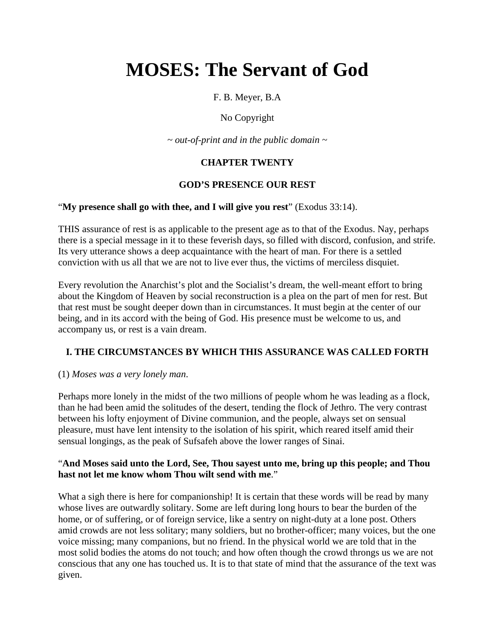# **MOSES: The Servant of God**

F. B. Meyer, B.A

## No Copyright

*~ out-of-print and in the public domain ~* 

# **CHAPTER TWENTY**

## **GOD'S PRESENCE OUR REST**

#### "**My presence shall go with thee, and I will give you rest**" (Exodus 33:14).

THIS assurance of rest is as applicable to the present age as to that of the Exodus. Nay, perhaps there is a special message in it to these feverish days, so filled with discord, confusion, and strife. Its very utterance shows a deep acquaintance with the heart of man. For there is a settled conviction with us all that we are not to live ever thus, the victims of merciless disquiet.

Every revolution the Anarchist's plot and the Socialist's dream, the well-meant effort to bring about the Kingdom of Heaven by social reconstruction is a plea on the part of men for rest. But that rest must be sought deeper down than in circumstances. It must begin at the center of our being, and in its accord with the being of God. His presence must be welcome to us, and accompany us, or rest is a vain dream.

## **I. THE CIRCUMSTANCES BY WHICH THIS ASSURANCE WAS CALLED FORTH**

#### (1) *Moses was a very lonely man*.

Perhaps more lonely in the midst of the two millions of people whom he was leading as a flock, than he had been amid the solitudes of the desert, tending the flock of Jethro. The very contrast between his lofty enjoyment of Divine communion, and the people, always set on sensual pleasure, must have lent intensity to the isolation of his spirit, which reared itself amid their sensual longings, as the peak of Sufsafeh above the lower ranges of Sinai.

#### "**And Moses said unto the Lord, See, Thou sayest unto me, bring up this people; and Thou hast not let me know whom Thou wilt send with me**."

What a sigh there is here for companionship! It is certain that these words will be read by many whose lives are outwardly solitary. Some are left during long hours to bear the burden of the home, or of suffering, or of foreign service, like a sentry on night-duty at a lone post. Others amid crowds are not less solitary; many soldiers, but no brother-officer; many voices, but the one voice missing; many companions, but no friend. In the physical world we are told that in the most solid bodies the atoms do not touch; and how often though the crowd throngs us we are not conscious that any one has touched us. It is to that state of mind that the assurance of the text was given.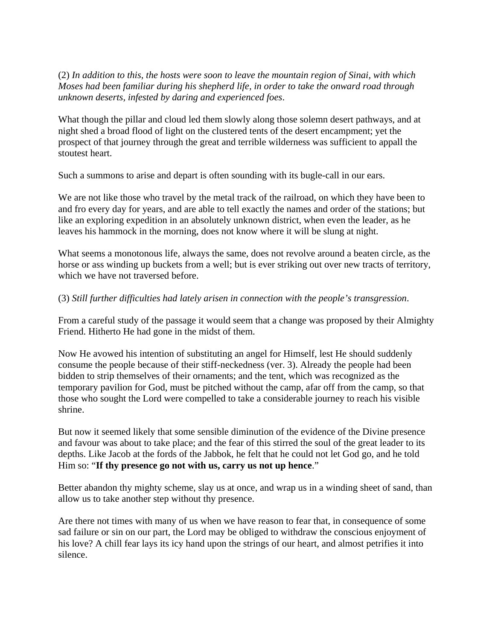(2) *In addition to this, the hosts were soon to leave the mountain region of Sinai, with which Moses had been familiar during his shepherd life, in order to take the onward road through unknown deserts, infested by daring and experienced foes*.

What though the pillar and cloud led them slowly along those solemn desert pathways, and at night shed a broad flood of light on the clustered tents of the desert encampment; yet the prospect of that journey through the great and terrible wilderness was sufficient to appall the stoutest heart.

Such a summons to arise and depart is often sounding with its bugle-call in our ears.

We are not like those who travel by the metal track of the railroad, on which they have been to and fro every day for years, and are able to tell exactly the names and order of the stations; but like an exploring expedition in an absolutely unknown district, when even the leader, as he leaves his hammock in the morning, does not know where it will be slung at night.

What seems a monotonous life, always the same, does not revolve around a beaten circle, as the horse or ass winding up buckets from a well; but is ever striking out over new tracts of territory, which we have not traversed before.

#### (3) *Still further difficulties had lately arisen in connection with the people's transgression*.

From a careful study of the passage it would seem that a change was proposed by their Almighty Friend. Hitherto He had gone in the midst of them.

Now He avowed his intention of substituting an angel for Himself, lest He should suddenly consume the people because of their stiff-neckedness (ver. 3). Already the people had been bidden to strip themselves of their ornaments; and the tent, which was recognized as the temporary pavilion for God, must be pitched without the camp, afar off from the camp, so that those who sought the Lord were compelled to take a considerable journey to reach his visible shrine.

But now it seemed likely that some sensible diminution of the evidence of the Divine presence and favour was about to take place; and the fear of this stirred the soul of the great leader to its depths. Like Jacob at the fords of the Jabbok, he felt that he could not let God go, and he told Him so: "**If thy presence go not with us, carry us not up hence**."

Better abandon thy mighty scheme, slay us at once, and wrap us in a winding sheet of sand, than allow us to take another step without thy presence.

Are there not times with many of us when we have reason to fear that, in consequence of some sad failure or sin on our part, the Lord may be obliged to withdraw the conscious enjoyment of his love? A chill fear lays its icy hand upon the strings of our heart, and almost petrifies it into silence.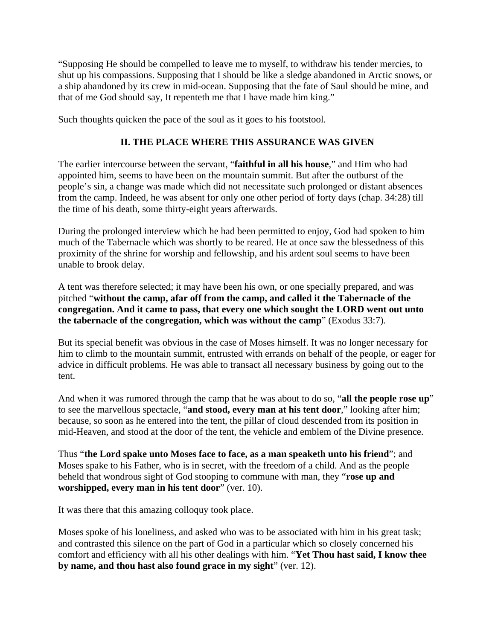"Supposing He should be compelled to leave me to myself, to withdraw his tender mercies, to shut up his compassions. Supposing that I should be like a sledge abandoned in Arctic snows, or a ship abandoned by its crew in mid-ocean. Supposing that the fate of Saul should be mine, and that of me God should say, It repenteth me that I have made him king."

Such thoughts quicken the pace of the soul as it goes to his footstool.

# **II. THE PLACE WHERE THIS ASSURANCE WAS GIVEN**

The earlier intercourse between the servant, "**faithful in all his house**," and Him who had appointed him, seems to have been on the mountain summit. But after the outburst of the people's sin, a change was made which did not necessitate such prolonged or distant absences from the camp. Indeed, he was absent for only one other period of forty days (chap. 34:28) till the time of his death, some thirty-eight years afterwards.

During the prolonged interview which he had been permitted to enjoy, God had spoken to him much of the Tabernacle which was shortly to be reared. He at once saw the blessedness of this proximity of the shrine for worship and fellowship, and his ardent soul seems to have been unable to brook delay.

A tent was therefore selected; it may have been his own, or one specially prepared, and was pitched "**without the camp, afar off from the camp, and called it the Tabernacle of the congregation. And it came to pass, that every one which sought the LORD went out unto the tabernacle of the congregation, which was without the camp**" (Exodus 33:7).

But its special benefit was obvious in the case of Moses himself. It was no longer necessary for him to climb to the mountain summit, entrusted with errands on behalf of the people, or eager for advice in difficult problems. He was able to transact all necessary business by going out to the tent.

And when it was rumored through the camp that he was about to do so, "**all the people rose up**" to see the marvellous spectacle, "**and stood, every man at his tent door**," looking after him; because, so soon as he entered into the tent, the pillar of cloud descended from its position in mid-Heaven, and stood at the door of the tent, the vehicle and emblem of the Divine presence.

Thus "**the Lord spake unto Moses face to face, as a man speaketh unto his friend**"; and Moses spake to his Father, who is in secret, with the freedom of a child. And as the people beheld that wondrous sight of God stooping to commune with man, they "**rose up and worshipped, every man in his tent door**" (ver. 10).

It was there that this amazing colloquy took place.

Moses spoke of his loneliness, and asked who was to be associated with him in his great task; and contrasted this silence on the part of God in a particular which so closely concerned his comfort and efficiency with all his other dealings with him. "**Yet Thou hast said, I know thee by name, and thou hast also found grace in my sight**" (ver. 12).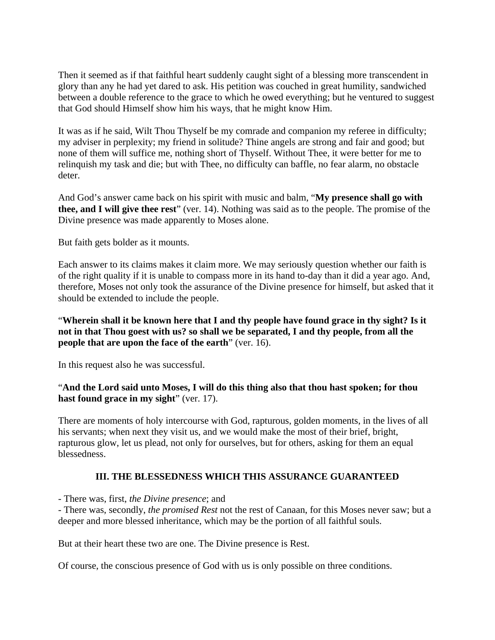Then it seemed as if that faithful heart suddenly caught sight of a blessing more transcendent in glory than any he had yet dared to ask. His petition was couched in great humility, sandwiched between a double reference to the grace to which he owed everything; but he ventured to suggest that God should Himself show him his ways, that he might know Him.

It was as if he said, Wilt Thou Thyself be my comrade and companion my referee in difficulty; my adviser in perplexity; my friend in solitude? Thine angels are strong and fair and good; but none of them will suffice me, nothing short of Thyself. Without Thee, it were better for me to relinquish my task and die; but with Thee, no difficulty can baffle, no fear alarm, no obstacle deter.

And God's answer came back on his spirit with music and balm, "**My presence shall go with thee, and I will give thee rest**" (ver. 14). Nothing was said as to the people. The promise of the Divine presence was made apparently to Moses alone.

But faith gets bolder as it mounts.

Each answer to its claims makes it claim more. We may seriously question whether our faith is of the right quality if it is unable to compass more in its hand to-day than it did a year ago. And, therefore, Moses not only took the assurance of the Divine presence for himself, but asked that it should be extended to include the people.

## "**Wherein shall it be known here that I and thy people have found grace in thy sight? Is it not in that Thou goest with us? so shall we be separated, I and thy people, from all the people that are upon the face of the earth**" (ver. 16).

In this request also he was successful.

#### "**And the Lord said unto Moses, I will do this thing also that thou hast spoken; for thou hast found grace in my sight**" (ver. 17).

There are moments of holy intercourse with God, rapturous, golden moments, in the lives of all his servants; when next they visit us, and we would make the most of their brief, bright, rapturous glow, let us plead, not only for ourselves, but for others, asking for them an equal blessedness.

#### **III. THE BLESSEDNESS WHICH THIS ASSURANCE GUARANTEED**

- There was, first, *the Divine presence*; and

- There was, secondly, *the promised Rest* not the rest of Canaan, for this Moses never saw; but a deeper and more blessed inheritance, which may be the portion of all faithful souls.

But at their heart these two are one. The Divine presence is Rest.

Of course, the conscious presence of God with us is only possible on three conditions.